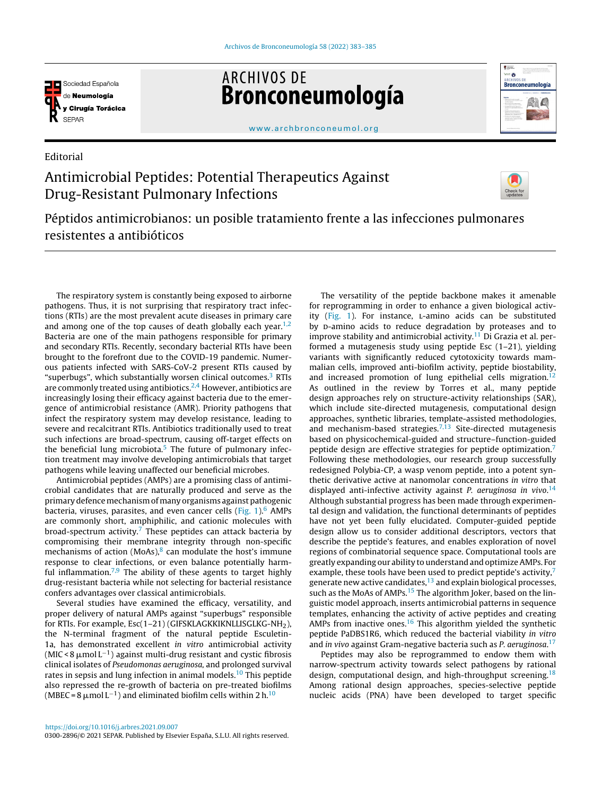

Editorial

**ARCHIVOS DE** Bronconeumología



[www.archbronconeumol.org](http://www.archbronconeumol.org)

## Antimicrobial Peptides: Potential Therapeutics Against Drug-Resistant Pulmonary Infections



Péptidos antimicrobianos: un posible tratamiento frente a las infecciones pulmonares resistentes a antibióticos

The respiratory system is constantly being exposed to airborne pathogens. Thus, it is not surprising that respiratory tract infections (RTIs) are the most prevalent acute diseases in primary care and among one of the top causes of death globally each year.<sup>[1,2](#page-1-0)</sup> Bacteria are one of the main pathogens responsible for primary and secondary RTIs. Recently, secondary bacterial RTIs have been brought to the forefront due to the COVID-19 pandemic. Numerous patients infected with SARS-CoV-2 present RTIs caused by "superbugs", which substantially worsen clinical outcomes.<sup>[3](#page-1-0)</sup> RTIs are commonly treated using antibiotics. $2,4$  However, antibiotics are increasingly losing their efficacy against bacteria due to the emergence of antimicrobial resistance (AMR). Priority pathogens that infect the respiratory system may develop resistance, leading to severe and recalcitrant RTIs. Antibiotics traditionally used to treat such infections are broad-spectrum, causing off-target effects on the beneficial lung microbiota. $5$  The future of pulmonary infection treatment may involve developing antimicrobials that target pathogens while leaving unaffected our beneficial microbes.

Antimicrobial peptides (AMPs) are a promising class of antimicrobial candidates that are naturally produced and serve as the primarydefencemechanismofmany organisms againstpathogenic bacteria, viruses, parasites, and even cancer cells ([Fig.](#page-1-0)  $1$ ).<sup>[6](#page-1-0)</sup> AMPs are commonly short, amphiphilic, and cationic molecules with broad-spectrum activity. $7$  These peptides can attack bacteria by compromising their membrane integrity through non-specific mechanisms of action  $(MoAs)<sup>8</sup>$  $(MoAs)<sup>8</sup>$  $(MoAs)<sup>8</sup>$  can modulate the host's immune response to clear infections, or even balance potentially harm-ful inflammation.<sup>[7,9](#page-1-0)</sup> The ability of these agents to target highly drug-resistant bacteria while not selecting for bacterial resistance confers advantages over classical antimicrobials.

Several studies have examined the efficacy, versatility, and proper delivery of natural AMPs against "superbugs" responsible for RTIs. For example, Esc(1-21) (GIFSKLAGKKIKNLLISGLKG-NH<sub>2</sub>), the N-terminal fragment of the natural peptide Esculetin-1a, has demonstrated excellent in vitro antimicrobial activity (MIC < 8  $\mu$ mol L<sup>-1</sup>) against multi-drug resistant and cystic fibrosis clinical isolates of Pseudomonas aeruginosa, and prolonged survival rates in sepsis and lung infection in animal models.<sup>[10](#page-1-0)</sup> This peptide also repressed the re-growth of bacteria on pre-treated biofilms (MBEC = 8  $\mu$  mol L<sup>-1</sup>) and eliminated biofilm cells within 2 h.<sup>[10](#page-1-0)</sup>

The versatility of the peptide backbone makes it amenable for reprogramming in order to enhance a given biological activ-ity ([Fig.](#page-1-0) 1). For instance, L-amino acids can be substituted by p-amino acids to reduce degradation by proteases and to improve stability and antimicrobial activity.<sup>[11](#page-1-0)</sup> Di Grazia et al. performed a mutagenesis study using peptide Esc (1–21), yielding variants with significantly reduced cytotoxicity towards mammalian cells, improved anti-biofilm activity, peptide biostability, and increased promotion of lung epithelial cells migration.<sup>[12](#page-1-0)</sup> As outlined in the review by Torres et al., many peptide design approaches rely on structure-activity relationships (SAR), which include site-directed mutagenesis, computational design approaches, synthetic libraries, template-assisted methodologies, and mechanism-based strategies.<sup>[7,13](#page-1-0)</sup> Site-directed mutagenesis based on physicochemical-guided and structure–function-guided peptide design are effective strategies for peptide optimization.[7](#page-1-0) Following these methodologies, our research group successfully redesigned Polybia-CP, a wasp venom peptide, into a potent synthetic derivative active at nanomolar concentrations in vitro that displayed anti-infective activity against P. aeruginosa in vivo.<sup>[14](#page-1-0)</sup> Although substantial progress has been made through experimental design and validation, the functional determinants of peptides have not yet been fully elucidated. Computer-guided peptide design allow us to consider additional descriptors, vectors that describe the peptide's features, and enables exploration of novel regions of combinatorial sequence space. Computational tools are greatly expanding our ability to understand and optimizeAMPs. For example, these tools have been used to predict peptide's activity,<sup>[7](#page-1-0)</sup> generate new active candidates, $13$  and explain biological processes, such as the MoAs of AMPs.<sup>[15](#page-1-0)</sup> The algorithm Joker, based on the linguistic model approach, inserts antimicrobial patterns in sequence templates, enhancing the activity of active peptides and creating AMPs from inactive ones. $16$  This algorithm yielded the synthetic peptide PaDBS1R6, which reduced the bacterial viability in vitro and in vivo against Gram-negative bacteria such as P. aeruginosa.<sup>[17](#page-1-0)</sup>

Peptides may also be reprogrammed to endow them with narrow-spectrum activity towards select pathogens by rational design, computational design, and high-throughput screening.<sup>[18](#page-1-0)</sup> Among rational design approaches, species-selective peptide nucleic acids (PNA) have been developed to target specific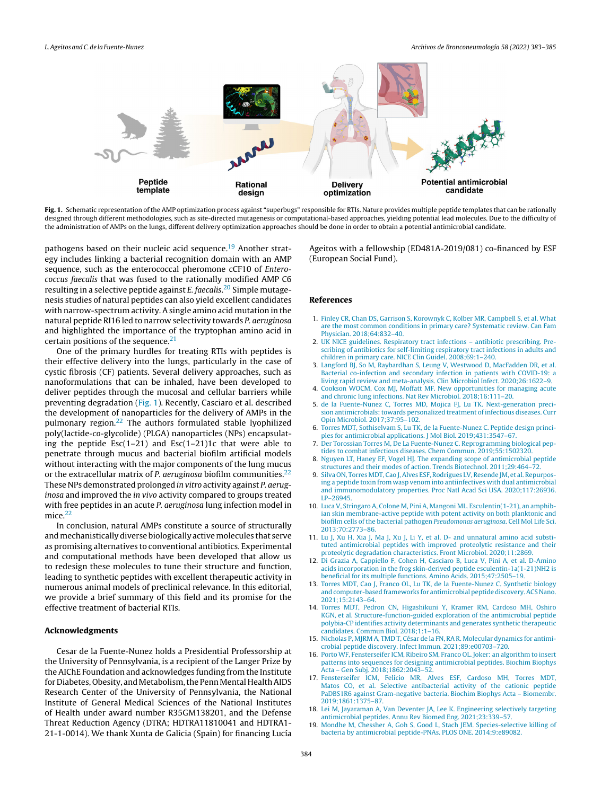<span id="page-1-0"></span>

Fig. 1. Schematic representation of the AMP optimization process against "superbugs" responsible for RTIs. Nature provides multiple peptide templates that can be rationally designed through different methodologies, such as site-directed mutagenesis or computational-based approaches, yielding potential lead molecules. Due to the difficulty of the administration of AMPs on the lungs, different delivery optimization approaches should be done in order to obtain a potential antimicrobial candidate.

pathogens based on their nucleic acid sequence.<sup>19</sup> Another strategy includes linking a bacterial recognition domain with an AMP sequence, such as the enterococcal pheromone cCF10 of Enterococcus faecalis that was fused to the rationally modified AMP C6 resulting in a selective peptide against E. faecalis.<sup>[20](#page-2-0)</sup> Simple mutagenesis studies of natural peptides can also yield excellent candidates with narrow-spectrum activity. A single amino acid mutation in the natural peptide RI16 led to narrow selectivity towards P. aeruginosa and highlighted the importance of the tryptophan amino acid in certain positions of the sequence. $21$ 

One of the primary hurdles for treating RTIs with peptides is their effective delivery into the lungs, particularly in the case of cystic fibrosis (CF) patients. Several delivery approaches, such as nanoformulations that can be inhaled, have been developed to deliver peptides through the mucosal and cellular barriers while preventing degradation (Fig. 1). Recently, Casciaro et al. described the development of nanoparticles for the delivery of AMPs in the pulmonary region. $22$  The authors formulated stable lyophilized poly(lactide-co-glycolide) (PLGA) nanoparticles (NPs) encapsulating the peptide  $Esc(1-21)$  and  $Esc(1-21)1c$  that were able to penetrate through mucus and bacterial biofilm artificial models without interacting with the major components of the lung mucus or the extracellular matrix of P. aeruginosa biofilm communities.<sup>[22](#page-2-0)</sup> These NPs demonstrated prolonged in vitro activity against P. aeruginosa and improved the in vivo activity compared to groups treated with free peptides in an acute *P. aeruginosa* lung infection model in mice.<sup>[22](#page-2-0)</sup>

In conclusion, natural AMPs constitute a source of structurally and mechanistically diverse biologically active molecules that serve as promising alternatives to conventional antibiotics. Experimental and computational methods have been developed that allow us to redesign these molecules to tune their structure and function, leading to synthetic peptides with excellent therapeutic activity in numerous animal models of preclinical relevance. In this editorial, we provide a brief summary of this field and its promise for the effective treatment of bacterial RTIs.

## Acknowledgments

Cesar de la Fuente-Nunez holds a Presidential Professorship at the University of Pennsylvania, is a recipient of the Langer Prize by the AIChE Foundation and acknowledges funding from the Institute for Diabetes, Obesity, and Metabolism, the Penn Mental Health AIDS Research Center of the University of Pennsylvania, the National Institute of General Medical Sciences of the National Institutes of Health under award number R35GM138201, and the Defense Threat Reduction Agency (DTRA; HDTRA11810041 and HDTRA1- 21-1-0014). We thank Xunta de Galicia (Spain) for financing Lucía

Ageitos with a fellowship (ED481A-2019/081) co-financed by ESF (European Social Fund).

## References

- 1. [Finley](http://refhub.elsevier.com/S0300-2896(21)00325-2/sbref0120) [CR,](http://refhub.elsevier.com/S0300-2896(21)00325-2/sbref0120) [Chan](http://refhub.elsevier.com/S0300-2896(21)00325-2/sbref0120) [DS,](http://refhub.elsevier.com/S0300-2896(21)00325-2/sbref0120) [Garrison](http://refhub.elsevier.com/S0300-2896(21)00325-2/sbref0120) [S,](http://refhub.elsevier.com/S0300-2896(21)00325-2/sbref0120) [Korownyk](http://refhub.elsevier.com/S0300-2896(21)00325-2/sbref0120) [C,](http://refhub.elsevier.com/S0300-2896(21)00325-2/sbref0120) [Kolber](http://refhub.elsevier.com/S0300-2896(21)00325-2/sbref0120) [MR,](http://refhub.elsevier.com/S0300-2896(21)00325-2/sbref0120) [Campbell](http://refhub.elsevier.com/S0300-2896(21)00325-2/sbref0120) [S,](http://refhub.elsevier.com/S0300-2896(21)00325-2/sbref0120) [et](http://refhub.elsevier.com/S0300-2896(21)00325-2/sbref0120) [al.](http://refhub.elsevier.com/S0300-2896(21)00325-2/sbref0120) [What](http://refhub.elsevier.com/S0300-2896(21)00325-2/sbref0120) [are](http://refhub.elsevier.com/S0300-2896(21)00325-2/sbref0120) [the](http://refhub.elsevier.com/S0300-2896(21)00325-2/sbref0120) [most](http://refhub.elsevier.com/S0300-2896(21)00325-2/sbref0120) [common](http://refhub.elsevier.com/S0300-2896(21)00325-2/sbref0120) [conditions](http://refhub.elsevier.com/S0300-2896(21)00325-2/sbref0120) [in](http://refhub.elsevier.com/S0300-2896(21)00325-2/sbref0120) [primary](http://refhub.elsevier.com/S0300-2896(21)00325-2/sbref0120) [care?](http://refhub.elsevier.com/S0300-2896(21)00325-2/sbref0120) [Systematic](http://refhub.elsevier.com/S0300-2896(21)00325-2/sbref0120) [review.](http://refhub.elsevier.com/S0300-2896(21)00325-2/sbref0120) [Can](http://refhub.elsevier.com/S0300-2896(21)00325-2/sbref0120) [Fam](http://refhub.elsevier.com/S0300-2896(21)00325-2/sbref0120) [Physician.](http://refhub.elsevier.com/S0300-2896(21)00325-2/sbref0120) [2018;64:832](http://refhub.elsevier.com/S0300-2896(21)00325-2/sbref0120)–[40.](http://refhub.elsevier.com/S0300-2896(21)00325-2/sbref0120)
- 2. [UK](http://refhub.elsevier.com/S0300-2896(21)00325-2/sbref0125) [NICE](http://refhub.elsevier.com/S0300-2896(21)00325-2/sbref0125) [guidelines.](http://refhub.elsevier.com/S0300-2896(21)00325-2/sbref0125) [Respiratory](http://refhub.elsevier.com/S0300-2896(21)00325-2/sbref0125) [tract](http://refhub.elsevier.com/S0300-2896(21)00325-2/sbref0125) [infections](http://refhub.elsevier.com/S0300-2896(21)00325-2/sbref0125) [antibiotic](http://refhub.elsevier.com/S0300-2896(21)00325-2/sbref0125) [prescribing.](http://refhub.elsevier.com/S0300-2896(21)00325-2/sbref0125) [Pre](http://refhub.elsevier.com/S0300-2896(21)00325-2/sbref0125)[scribing](http://refhub.elsevier.com/S0300-2896(21)00325-2/sbref0125) [of](http://refhub.elsevier.com/S0300-2896(21)00325-2/sbref0125) [antibiotics](http://refhub.elsevier.com/S0300-2896(21)00325-2/sbref0125) [for](http://refhub.elsevier.com/S0300-2896(21)00325-2/sbref0125) [self-limiting](http://refhub.elsevier.com/S0300-2896(21)00325-2/sbref0125) [respiratory](http://refhub.elsevier.com/S0300-2896(21)00325-2/sbref0125) [tract](http://refhub.elsevier.com/S0300-2896(21)00325-2/sbref0125) [infections](http://refhub.elsevier.com/S0300-2896(21)00325-2/sbref0125) [in](http://refhub.elsevier.com/S0300-2896(21)00325-2/sbref0125) [adults](http://refhub.elsevier.com/S0300-2896(21)00325-2/sbref0125) [and](http://refhub.elsevier.com/S0300-2896(21)00325-2/sbref0125) [children](http://refhub.elsevier.com/S0300-2896(21)00325-2/sbref0125) [in](http://refhub.elsevier.com/S0300-2896(21)00325-2/sbref0125) [primary](http://refhub.elsevier.com/S0300-2896(21)00325-2/sbref0125) [care.](http://refhub.elsevier.com/S0300-2896(21)00325-2/sbref0125) [NICE](http://refhub.elsevier.com/S0300-2896(21)00325-2/sbref0125) [Clin](http://refhub.elsevier.com/S0300-2896(21)00325-2/sbref0125) [Guidel.](http://refhub.elsevier.com/S0300-2896(21)00325-2/sbref0125) [2008;69:1–240.](http://refhub.elsevier.com/S0300-2896(21)00325-2/sbref0125)
- 3. [Langford](http://refhub.elsevier.com/S0300-2896(21)00325-2/sbref0130) [BJ,](http://refhub.elsevier.com/S0300-2896(21)00325-2/sbref0130) [So](http://refhub.elsevier.com/S0300-2896(21)00325-2/sbref0130) [M,](http://refhub.elsevier.com/S0300-2896(21)00325-2/sbref0130) [Raybardhan](http://refhub.elsevier.com/S0300-2896(21)00325-2/sbref0130) [S,](http://refhub.elsevier.com/S0300-2896(21)00325-2/sbref0130) [Leung](http://refhub.elsevier.com/S0300-2896(21)00325-2/sbref0130) [V,](http://refhub.elsevier.com/S0300-2896(21)00325-2/sbref0130) [Westwood](http://refhub.elsevier.com/S0300-2896(21)00325-2/sbref0130) [D,](http://refhub.elsevier.com/S0300-2896(21)00325-2/sbref0130) [MacFadden](http://refhub.elsevier.com/S0300-2896(21)00325-2/sbref0130) [DR,](http://refhub.elsevier.com/S0300-2896(21)00325-2/sbref0130) [et](http://refhub.elsevier.com/S0300-2896(21)00325-2/sbref0130) [al.](http://refhub.elsevier.com/S0300-2896(21)00325-2/sbref0130) [Bacterial](http://refhub.elsevier.com/S0300-2896(21)00325-2/sbref0130) [co-infection](http://refhub.elsevier.com/S0300-2896(21)00325-2/sbref0130) [and](http://refhub.elsevier.com/S0300-2896(21)00325-2/sbref0130) [secondary](http://refhub.elsevier.com/S0300-2896(21)00325-2/sbref0130) [infection](http://refhub.elsevier.com/S0300-2896(21)00325-2/sbref0130) [in](http://refhub.elsevier.com/S0300-2896(21)00325-2/sbref0130) [patients](http://refhub.elsevier.com/S0300-2896(21)00325-2/sbref0130) [with](http://refhub.elsevier.com/S0300-2896(21)00325-2/sbref0130) [COVID-19:](http://refhub.elsevier.com/S0300-2896(21)00325-2/sbref0130) [a](http://refhub.elsevier.com/S0300-2896(21)00325-2/sbref0130) [living](http://refhub.elsevier.com/S0300-2896(21)00325-2/sbref0130) [rapid](http://refhub.elsevier.com/S0300-2896(21)00325-2/sbref0130) [review](http://refhub.elsevier.com/S0300-2896(21)00325-2/sbref0130) [and](http://refhub.elsevier.com/S0300-2896(21)00325-2/sbref0130) [meta-analysis.](http://refhub.elsevier.com/S0300-2896(21)00325-2/sbref0130) [Clin](http://refhub.elsevier.com/S0300-2896(21)00325-2/sbref0130) [Microbiol](http://refhub.elsevier.com/S0300-2896(21)00325-2/sbref0130) [Infect.](http://refhub.elsevier.com/S0300-2896(21)00325-2/sbref0130) [2020;26:1622](http://refhub.elsevier.com/S0300-2896(21)00325-2/sbref0130)–[9.](http://refhub.elsevier.com/S0300-2896(21)00325-2/sbref0130)
- 4. [Cookson](http://refhub.elsevier.com/S0300-2896(21)00325-2/sbref0135) [WOCM,](http://refhub.elsevier.com/S0300-2896(21)00325-2/sbref0135) [Cox](http://refhub.elsevier.com/S0300-2896(21)00325-2/sbref0135) [MJ,](http://refhub.elsevier.com/S0300-2896(21)00325-2/sbref0135) [Moffatt](http://refhub.elsevier.com/S0300-2896(21)00325-2/sbref0135) [MF.](http://refhub.elsevier.com/S0300-2896(21)00325-2/sbref0135) [New](http://refhub.elsevier.com/S0300-2896(21)00325-2/sbref0135) [opportunities](http://refhub.elsevier.com/S0300-2896(21)00325-2/sbref0135) [for](http://refhub.elsevier.com/S0300-2896(21)00325-2/sbref0135) [managing](http://refhub.elsevier.com/S0300-2896(21)00325-2/sbref0135) [acute](http://refhub.elsevier.com/S0300-2896(21)00325-2/sbref0135) [and](http://refhub.elsevier.com/S0300-2896(21)00325-2/sbref0135) [chronic](http://refhub.elsevier.com/S0300-2896(21)00325-2/sbref0135) [lung](http://refhub.elsevier.com/S0300-2896(21)00325-2/sbref0135) [infections.](http://refhub.elsevier.com/S0300-2896(21)00325-2/sbref0135) [Nat](http://refhub.elsevier.com/S0300-2896(21)00325-2/sbref0135) [Rev](http://refhub.elsevier.com/S0300-2896(21)00325-2/sbref0135) [Microbiol.](http://refhub.elsevier.com/S0300-2896(21)00325-2/sbref0135) [2018;16:111](http://refhub.elsevier.com/S0300-2896(21)00325-2/sbref0135)–[20.](http://refhub.elsevier.com/S0300-2896(21)00325-2/sbref0135)
- 5. [de](http://refhub.elsevier.com/S0300-2896(21)00325-2/sbref0140) [la](http://refhub.elsevier.com/S0300-2896(21)00325-2/sbref0140) [Fuente-Nunez](http://refhub.elsevier.com/S0300-2896(21)00325-2/sbref0140) [C,](http://refhub.elsevier.com/S0300-2896(21)00325-2/sbref0140) [Torres](http://refhub.elsevier.com/S0300-2896(21)00325-2/sbref0140) [MD,](http://refhub.elsevier.com/S0300-2896(21)00325-2/sbref0140) [Mojica](http://refhub.elsevier.com/S0300-2896(21)00325-2/sbref0140) [FJ,](http://refhub.elsevier.com/S0300-2896(21)00325-2/sbref0140) [Lu](http://refhub.elsevier.com/S0300-2896(21)00325-2/sbref0140) [TK.](http://refhub.elsevier.com/S0300-2896(21)00325-2/sbref0140) [Next-generation](http://refhub.elsevier.com/S0300-2896(21)00325-2/sbref0140) [preci](http://refhub.elsevier.com/S0300-2896(21)00325-2/sbref0140)[sion](http://refhub.elsevier.com/S0300-2896(21)00325-2/sbref0140) antimicrobials: towards [personalized](http://refhub.elsevier.com/S0300-2896(21)00325-2/sbref0140) [treatment](http://refhub.elsevier.com/S0300-2896(21)00325-2/sbref0140) [of](http://refhub.elsevier.com/S0300-2896(21)00325-2/sbref0140) [infectious](http://refhub.elsevier.com/S0300-2896(21)00325-2/sbref0140) [diseases.](http://refhub.elsevier.com/S0300-2896(21)00325-2/sbref0140) [Curr](http://refhub.elsevier.com/S0300-2896(21)00325-2/sbref0140) [Opin](http://refhub.elsevier.com/S0300-2896(21)00325-2/sbref0140) [Microbiol.](http://refhub.elsevier.com/S0300-2896(21)00325-2/sbref0140) [2017;37:95](http://refhub.elsevier.com/S0300-2896(21)00325-2/sbref0140)–[102.](http://refhub.elsevier.com/S0300-2896(21)00325-2/sbref0140)
- 6. [Torres](http://refhub.elsevier.com/S0300-2896(21)00325-2/sbref0145) [MDT,](http://refhub.elsevier.com/S0300-2896(21)00325-2/sbref0145) [Sothiselvam](http://refhub.elsevier.com/S0300-2896(21)00325-2/sbref0145) [S,](http://refhub.elsevier.com/S0300-2896(21)00325-2/sbref0145) [Lu](http://refhub.elsevier.com/S0300-2896(21)00325-2/sbref0145) [TK,](http://refhub.elsevier.com/S0300-2896(21)00325-2/sbref0145) [de](http://refhub.elsevier.com/S0300-2896(21)00325-2/sbref0145) [la](http://refhub.elsevier.com/S0300-2896(21)00325-2/sbref0145) [Fuente-Nunez](http://refhub.elsevier.com/S0300-2896(21)00325-2/sbref0145) [C.](http://refhub.elsevier.com/S0300-2896(21)00325-2/sbref0145) [Peptide](http://refhub.elsevier.com/S0300-2896(21)00325-2/sbref0145) [design](http://refhub.elsevier.com/S0300-2896(21)00325-2/sbref0145) [princi](http://refhub.elsevier.com/S0300-2896(21)00325-2/sbref0145)[ples](http://refhub.elsevier.com/S0300-2896(21)00325-2/sbref0145) [for](http://refhub.elsevier.com/S0300-2896(21)00325-2/sbref0145) [antimicrobial](http://refhub.elsevier.com/S0300-2896(21)00325-2/sbref0145) [applications.](http://refhub.elsevier.com/S0300-2896(21)00325-2/sbref0145) [J](http://refhub.elsevier.com/S0300-2896(21)00325-2/sbref0145) [Mol](http://refhub.elsevier.com/S0300-2896(21)00325-2/sbref0145) [Biol.](http://refhub.elsevier.com/S0300-2896(21)00325-2/sbref0145) [2019;431:3547–67.](http://refhub.elsevier.com/S0300-2896(21)00325-2/sbref0145)
- 7. [Der](http://refhub.elsevier.com/S0300-2896(21)00325-2/sbref0150) [Torossian](http://refhub.elsevier.com/S0300-2896(21)00325-2/sbref0150) [Torres](http://refhub.elsevier.com/S0300-2896(21)00325-2/sbref0150) [M,](http://refhub.elsevier.com/S0300-2896(21)00325-2/sbref0150) [De](http://refhub.elsevier.com/S0300-2896(21)00325-2/sbref0150) [La](http://refhub.elsevier.com/S0300-2896(21)00325-2/sbref0150) [Fuente-Nunez](http://refhub.elsevier.com/S0300-2896(21)00325-2/sbref0150) [C.](http://refhub.elsevier.com/S0300-2896(21)00325-2/sbref0150) [Reprogramming](http://refhub.elsevier.com/S0300-2896(21)00325-2/sbref0150) [biological](http://refhub.elsevier.com/S0300-2896(21)00325-2/sbref0150) [pep](http://refhub.elsevier.com/S0300-2896(21)00325-2/sbref0150)[tides](http://refhub.elsevier.com/S0300-2896(21)00325-2/sbref0150) [to](http://refhub.elsevier.com/S0300-2896(21)00325-2/sbref0150) [combat](http://refhub.elsevier.com/S0300-2896(21)00325-2/sbref0150) [infectious](http://refhub.elsevier.com/S0300-2896(21)00325-2/sbref0150) [diseases.](http://refhub.elsevier.com/S0300-2896(21)00325-2/sbref0150) [Chem](http://refhub.elsevier.com/S0300-2896(21)00325-2/sbref0150) [Commun.](http://refhub.elsevier.com/S0300-2896(21)00325-2/sbref0150) [2019;55:1502320.](http://refhub.elsevier.com/S0300-2896(21)00325-2/sbref0150)
- 8. [Nguyen](http://refhub.elsevier.com/S0300-2896(21)00325-2/sbref0155) [LT,](http://refhub.elsevier.com/S0300-2896(21)00325-2/sbref0155) [Haney](http://refhub.elsevier.com/S0300-2896(21)00325-2/sbref0155) [EF,](http://refhub.elsevier.com/S0300-2896(21)00325-2/sbref0155) [Vogel](http://refhub.elsevier.com/S0300-2896(21)00325-2/sbref0155) [HJ.](http://refhub.elsevier.com/S0300-2896(21)00325-2/sbref0155) [The](http://refhub.elsevier.com/S0300-2896(21)00325-2/sbref0155) [expanding](http://refhub.elsevier.com/S0300-2896(21)00325-2/sbref0155) [scope](http://refhub.elsevier.com/S0300-2896(21)00325-2/sbref0155) [of](http://refhub.elsevier.com/S0300-2896(21)00325-2/sbref0155) [antimicrobial](http://refhub.elsevier.com/S0300-2896(21)00325-2/sbref0155) [peptide](http://refhub.elsevier.com/S0300-2896(21)00325-2/sbref0155) [structures](http://refhub.elsevier.com/S0300-2896(21)00325-2/sbref0155) [and](http://refhub.elsevier.com/S0300-2896(21)00325-2/sbref0155) [their](http://refhub.elsevier.com/S0300-2896(21)00325-2/sbref0155) [modes](http://refhub.elsevier.com/S0300-2896(21)00325-2/sbref0155) [of](http://refhub.elsevier.com/S0300-2896(21)00325-2/sbref0155) [action.](http://refhub.elsevier.com/S0300-2896(21)00325-2/sbref0155) [Trends](http://refhub.elsevier.com/S0300-2896(21)00325-2/sbref0155) [Biotechnol.](http://refhub.elsevier.com/S0300-2896(21)00325-2/sbref0155) [2011;29:464–72.](http://refhub.elsevier.com/S0300-2896(21)00325-2/sbref0155)
- 9. [Silva](http://refhub.elsevier.com/S0300-2896(21)00325-2/sbref0160) [ON,](http://refhub.elsevier.com/S0300-2896(21)00325-2/sbref0160) [Torres](http://refhub.elsevier.com/S0300-2896(21)00325-2/sbref0160) [MDT,](http://refhub.elsevier.com/S0300-2896(21)00325-2/sbref0160) [Cao](http://refhub.elsevier.com/S0300-2896(21)00325-2/sbref0160) J, Alves [ESF,](http://refhub.elsevier.com/S0300-2896(21)00325-2/sbref0160) [Rodrigues](http://refhub.elsevier.com/S0300-2896(21)00325-2/sbref0160) [LV,](http://refhub.elsevier.com/S0300-2896(21)00325-2/sbref0160) [Resende](http://refhub.elsevier.com/S0300-2896(21)00325-2/sbref0160) [JM,](http://refhub.elsevier.com/S0300-2896(21)00325-2/sbref0160) [et](http://refhub.elsevier.com/S0300-2896(21)00325-2/sbref0160) [al.](http://refhub.elsevier.com/S0300-2896(21)00325-2/sbref0160) [Repurpos](http://refhub.elsevier.com/S0300-2896(21)00325-2/sbref0160)[ing](http://refhub.elsevier.com/S0300-2896(21)00325-2/sbref0160) [a](http://refhub.elsevier.com/S0300-2896(21)00325-2/sbref0160) [peptide](http://refhub.elsevier.com/S0300-2896(21)00325-2/sbref0160) [toxin](http://refhub.elsevier.com/S0300-2896(21)00325-2/sbref0160) [from](http://refhub.elsevier.com/S0300-2896(21)00325-2/sbref0160) [wasp](http://refhub.elsevier.com/S0300-2896(21)00325-2/sbref0160) [venom](http://refhub.elsevier.com/S0300-2896(21)00325-2/sbref0160) [into](http://refhub.elsevier.com/S0300-2896(21)00325-2/sbref0160) [antiinfectives](http://refhub.elsevier.com/S0300-2896(21)00325-2/sbref0160) [with](http://refhub.elsevier.com/S0300-2896(21)00325-2/sbref0160) [dual](http://refhub.elsevier.com/S0300-2896(21)00325-2/sbref0160) [antimicrobial](http://refhub.elsevier.com/S0300-2896(21)00325-2/sbref0160) [and](http://refhub.elsevier.com/S0300-2896(21)00325-2/sbref0160) [immunomodulatory](http://refhub.elsevier.com/S0300-2896(21)00325-2/sbref0160) [properties.](http://refhub.elsevier.com/S0300-2896(21)00325-2/sbref0160) [Proc](http://refhub.elsevier.com/S0300-2896(21)00325-2/sbref0160) [Natl](http://refhub.elsevier.com/S0300-2896(21)00325-2/sbref0160) [Acad](http://refhub.elsevier.com/S0300-2896(21)00325-2/sbref0160) [Sci](http://refhub.elsevier.com/S0300-2896(21)00325-2/sbref0160) [USA.](http://refhub.elsevier.com/S0300-2896(21)00325-2/sbref0160) [2020;117:26936.](http://refhub.elsevier.com/S0300-2896(21)00325-2/sbref0160) [LP–26945.](http://refhub.elsevier.com/S0300-2896(21)00325-2/sbref0160)
- 10. [Luca](http://refhub.elsevier.com/S0300-2896(21)00325-2/sbref0165) [V,](http://refhub.elsevier.com/S0300-2896(21)00325-2/sbref0165) [Stringaro](http://refhub.elsevier.com/S0300-2896(21)00325-2/sbref0165) [A,](http://refhub.elsevier.com/S0300-2896(21)00325-2/sbref0165) [Colone](http://refhub.elsevier.com/S0300-2896(21)00325-2/sbref0165) [M,](http://refhub.elsevier.com/S0300-2896(21)00325-2/sbref0165) [Pini](http://refhub.elsevier.com/S0300-2896(21)00325-2/sbref0165) [A,](http://refhub.elsevier.com/S0300-2896(21)00325-2/sbref0165) [Mangoni](http://refhub.elsevier.com/S0300-2896(21)00325-2/sbref0165) [ML.](http://refhub.elsevier.com/S0300-2896(21)00325-2/sbref0165) [Esculentin\(1-21\),](http://refhub.elsevier.com/S0300-2896(21)00325-2/sbref0165) [an](http://refhub.elsevier.com/S0300-2896(21)00325-2/sbref0165) [amphib](http://refhub.elsevier.com/S0300-2896(21)00325-2/sbref0165)[ian](http://refhub.elsevier.com/S0300-2896(21)00325-2/sbref0165) [skin](http://refhub.elsevier.com/S0300-2896(21)00325-2/sbref0165) [membrane-active](http://refhub.elsevier.com/S0300-2896(21)00325-2/sbref0165) [peptide](http://refhub.elsevier.com/S0300-2896(21)00325-2/sbref0165) [with](http://refhub.elsevier.com/S0300-2896(21)00325-2/sbref0165) [potent](http://refhub.elsevier.com/S0300-2896(21)00325-2/sbref0165) [activity](http://refhub.elsevier.com/S0300-2896(21)00325-2/sbref0165) [on](http://refhub.elsevier.com/S0300-2896(21)00325-2/sbref0165) [both](http://refhub.elsevier.com/S0300-2896(21)00325-2/sbref0165) [planktonic](http://refhub.elsevier.com/S0300-2896(21)00325-2/sbref0165) [and](http://refhub.elsevier.com/S0300-2896(21)00325-2/sbref0165) [biofilm](http://refhub.elsevier.com/S0300-2896(21)00325-2/sbref0165) [cells](http://refhub.elsevier.com/S0300-2896(21)00325-2/sbref0165) [of](http://refhub.elsevier.com/S0300-2896(21)00325-2/sbref0165) [the](http://refhub.elsevier.com/S0300-2896(21)00325-2/sbref0165) [bacterial](http://refhub.elsevier.com/S0300-2896(21)00325-2/sbref0165) [pathogen](http://refhub.elsevier.com/S0300-2896(21)00325-2/sbref0165) [Pseudomonas](http://refhub.elsevier.com/S0300-2896(21)00325-2/sbref0165) [aeruginosa](http://refhub.elsevier.com/S0300-2896(21)00325-2/sbref0165)[.](http://refhub.elsevier.com/S0300-2896(21)00325-2/sbref0165) [Cell](http://refhub.elsevier.com/S0300-2896(21)00325-2/sbref0165) [Mol](http://refhub.elsevier.com/S0300-2896(21)00325-2/sbref0165) [Life](http://refhub.elsevier.com/S0300-2896(21)00325-2/sbref0165) [Sci.](http://refhub.elsevier.com/S0300-2896(21)00325-2/sbref0165) [2013;70:2773–86.](http://refhub.elsevier.com/S0300-2896(21)00325-2/sbref0165)
- 11. [Lu](http://refhub.elsevier.com/S0300-2896(21)00325-2/sbref0170) [J,](http://refhub.elsevier.com/S0300-2896(21)00325-2/sbref0170) [Xu](http://refhub.elsevier.com/S0300-2896(21)00325-2/sbref0170) [H,](http://refhub.elsevier.com/S0300-2896(21)00325-2/sbref0170) [Xia](http://refhub.elsevier.com/S0300-2896(21)00325-2/sbref0170) [J,](http://refhub.elsevier.com/S0300-2896(21)00325-2/sbref0170) [Ma](http://refhub.elsevier.com/S0300-2896(21)00325-2/sbref0170) [J,](http://refhub.elsevier.com/S0300-2896(21)00325-2/sbref0170) [Xu](http://refhub.elsevier.com/S0300-2896(21)00325-2/sbref0170) [J,](http://refhub.elsevier.com/S0300-2896(21)00325-2/sbref0170) [Li](http://refhub.elsevier.com/S0300-2896(21)00325-2/sbref0170) [Y,](http://refhub.elsevier.com/S0300-2896(21)00325-2/sbref0170) [et](http://refhub.elsevier.com/S0300-2896(21)00325-2/sbref0170) [al.](http://refhub.elsevier.com/S0300-2896(21)00325-2/sbref0170) [D-](http://refhub.elsevier.com/S0300-2896(21)00325-2/sbref0170) [and](http://refhub.elsevier.com/S0300-2896(21)00325-2/sbref0170) [unnatural](http://refhub.elsevier.com/S0300-2896(21)00325-2/sbref0170) [amino](http://refhub.elsevier.com/S0300-2896(21)00325-2/sbref0170) [acid](http://refhub.elsevier.com/S0300-2896(21)00325-2/sbref0170) [substi](http://refhub.elsevier.com/S0300-2896(21)00325-2/sbref0170)[tuted](http://refhub.elsevier.com/S0300-2896(21)00325-2/sbref0170) [antimicrobial](http://refhub.elsevier.com/S0300-2896(21)00325-2/sbref0170) [peptides](http://refhub.elsevier.com/S0300-2896(21)00325-2/sbref0170) [with](http://refhub.elsevier.com/S0300-2896(21)00325-2/sbref0170) [improved](http://refhub.elsevier.com/S0300-2896(21)00325-2/sbref0170) [proteolytic](http://refhub.elsevier.com/S0300-2896(21)00325-2/sbref0170) [resistance](http://refhub.elsevier.com/S0300-2896(21)00325-2/sbref0170) [and](http://refhub.elsevier.com/S0300-2896(21)00325-2/sbref0170) [their](http://refhub.elsevier.com/S0300-2896(21)00325-2/sbref0170) [proteolytic](http://refhub.elsevier.com/S0300-2896(21)00325-2/sbref0170) [degradation](http://refhub.elsevier.com/S0300-2896(21)00325-2/sbref0170) [characteristics.](http://refhub.elsevier.com/S0300-2896(21)00325-2/sbref0170) [Front](http://refhub.elsevier.com/S0300-2896(21)00325-2/sbref0170) [Microbiol.](http://refhub.elsevier.com/S0300-2896(21)00325-2/sbref0170) [2020;11:2869.](http://refhub.elsevier.com/S0300-2896(21)00325-2/sbref0170)
- 12. [Di](http://refhub.elsevier.com/S0300-2896(21)00325-2/sbref0175) [Grazia](http://refhub.elsevier.com/S0300-2896(21)00325-2/sbref0175) [A,](http://refhub.elsevier.com/S0300-2896(21)00325-2/sbref0175) [Cappiello](http://refhub.elsevier.com/S0300-2896(21)00325-2/sbref0175) [F,](http://refhub.elsevier.com/S0300-2896(21)00325-2/sbref0175) [Cohen](http://refhub.elsevier.com/S0300-2896(21)00325-2/sbref0175) [H,](http://refhub.elsevier.com/S0300-2896(21)00325-2/sbref0175) [Casciaro](http://refhub.elsevier.com/S0300-2896(21)00325-2/sbref0175) [B,](http://refhub.elsevier.com/S0300-2896(21)00325-2/sbref0175) [Luca](http://refhub.elsevier.com/S0300-2896(21)00325-2/sbref0175) [V,](http://refhub.elsevier.com/S0300-2896(21)00325-2/sbref0175) [Pini](http://refhub.elsevier.com/S0300-2896(21)00325-2/sbref0175) [A,](http://refhub.elsevier.com/S0300-2896(21)00325-2/sbref0175) [et](http://refhub.elsevier.com/S0300-2896(21)00325-2/sbref0175) [al.](http://refhub.elsevier.com/S0300-2896(21)00325-2/sbref0175) [D-Amino](http://refhub.elsevier.com/S0300-2896(21)00325-2/sbref0175) [acids](http://refhub.elsevier.com/S0300-2896(21)00325-2/sbref0175) [incorporation](http://refhub.elsevier.com/S0300-2896(21)00325-2/sbref0175) [in](http://refhub.elsevier.com/S0300-2896(21)00325-2/sbref0175) [the](http://refhub.elsevier.com/S0300-2896(21)00325-2/sbref0175) [frog](http://refhub.elsevier.com/S0300-2896(21)00325-2/sbref0175) [skin-derived](http://refhub.elsevier.com/S0300-2896(21)00325-2/sbref0175) [peptide](http://refhub.elsevier.com/S0300-2896(21)00325-2/sbref0175) [esculentin-1a\(1-21\)NH2](http://refhub.elsevier.com/S0300-2896(21)00325-2/sbref0175) [is](http://refhub.elsevier.com/S0300-2896(21)00325-2/sbref0175) [beneficial](http://refhub.elsevier.com/S0300-2896(21)00325-2/sbref0175) [for](http://refhub.elsevier.com/S0300-2896(21)00325-2/sbref0175) [its](http://refhub.elsevier.com/S0300-2896(21)00325-2/sbref0175) [multiple](http://refhub.elsevier.com/S0300-2896(21)00325-2/sbref0175) [functions.](http://refhub.elsevier.com/S0300-2896(21)00325-2/sbref0175) [Amino](http://refhub.elsevier.com/S0300-2896(21)00325-2/sbref0175) [Acids.](http://refhub.elsevier.com/S0300-2896(21)00325-2/sbref0175) [2015;47:2505](http://refhub.elsevier.com/S0300-2896(21)00325-2/sbref0175)–[19.](http://refhub.elsevier.com/S0300-2896(21)00325-2/sbref0175)
- 13. [Torres](http://refhub.elsevier.com/S0300-2896(21)00325-2/sbref0180) [MDT,](http://refhub.elsevier.com/S0300-2896(21)00325-2/sbref0180) [Cao](http://refhub.elsevier.com/S0300-2896(21)00325-2/sbref0180) [J,](http://refhub.elsevier.com/S0300-2896(21)00325-2/sbref0180) [Franco](http://refhub.elsevier.com/S0300-2896(21)00325-2/sbref0180) [OL,](http://refhub.elsevier.com/S0300-2896(21)00325-2/sbref0180) [Lu](http://refhub.elsevier.com/S0300-2896(21)00325-2/sbref0180) [TK,](http://refhub.elsevier.com/S0300-2896(21)00325-2/sbref0180) [de](http://refhub.elsevier.com/S0300-2896(21)00325-2/sbref0180) [la](http://refhub.elsevier.com/S0300-2896(21)00325-2/sbref0180) [Fuente-Nunez](http://refhub.elsevier.com/S0300-2896(21)00325-2/sbref0180) [C.](http://refhub.elsevier.com/S0300-2896(21)00325-2/sbref0180) [Synthetic](http://refhub.elsevier.com/S0300-2896(21)00325-2/sbref0180) [biology](http://refhub.elsevier.com/S0300-2896(21)00325-2/sbref0180) [and](http://refhub.elsevier.com/S0300-2896(21)00325-2/sbref0180) [computer-based](http://refhub.elsevier.com/S0300-2896(21)00325-2/sbref0180) [frameworks](http://refhub.elsevier.com/S0300-2896(21)00325-2/sbref0180) [for](http://refhub.elsevier.com/S0300-2896(21)00325-2/sbref0180) antimicrobial peptide discovery. ACS [Nano.](http://refhub.elsevier.com/S0300-2896(21)00325-2/sbref0180) [2021;15:2143](http://refhub.elsevier.com/S0300-2896(21)00325-2/sbref0180)–[64.](http://refhub.elsevier.com/S0300-2896(21)00325-2/sbref0180)
- 14. [Torres](http://refhub.elsevier.com/S0300-2896(21)00325-2/sbref0185) [MDT,](http://refhub.elsevier.com/S0300-2896(21)00325-2/sbref0185) [Pedron](http://refhub.elsevier.com/S0300-2896(21)00325-2/sbref0185) [CN,](http://refhub.elsevier.com/S0300-2896(21)00325-2/sbref0185) [Higashikuni](http://refhub.elsevier.com/S0300-2896(21)00325-2/sbref0185) [Y,](http://refhub.elsevier.com/S0300-2896(21)00325-2/sbref0185) [Kramer](http://refhub.elsevier.com/S0300-2896(21)00325-2/sbref0185) [RM,](http://refhub.elsevier.com/S0300-2896(21)00325-2/sbref0185) [Cardoso](http://refhub.elsevier.com/S0300-2896(21)00325-2/sbref0185) [MH,](http://refhub.elsevier.com/S0300-2896(21)00325-2/sbref0185) [Oshiro](http://refhub.elsevier.com/S0300-2896(21)00325-2/sbref0185) [KGN,](http://refhub.elsevier.com/S0300-2896(21)00325-2/sbref0185) [et](http://refhub.elsevier.com/S0300-2896(21)00325-2/sbref0185) [al.](http://refhub.elsevier.com/S0300-2896(21)00325-2/sbref0185) [Structure-function-guided](http://refhub.elsevier.com/S0300-2896(21)00325-2/sbref0185) [exploration](http://refhub.elsevier.com/S0300-2896(21)00325-2/sbref0185) [of](http://refhub.elsevier.com/S0300-2896(21)00325-2/sbref0185) [the](http://refhub.elsevier.com/S0300-2896(21)00325-2/sbref0185) [antimicrobial](http://refhub.elsevier.com/S0300-2896(21)00325-2/sbref0185) [peptide](http://refhub.elsevier.com/S0300-2896(21)00325-2/sbref0185) [polybia-CP](http://refhub.elsevier.com/S0300-2896(21)00325-2/sbref0185) [identifies](http://refhub.elsevier.com/S0300-2896(21)00325-2/sbref0185) [activity](http://refhub.elsevier.com/S0300-2896(21)00325-2/sbref0185) [determinants](http://refhub.elsevier.com/S0300-2896(21)00325-2/sbref0185) [and](http://refhub.elsevier.com/S0300-2896(21)00325-2/sbref0185) [generates](http://refhub.elsevier.com/S0300-2896(21)00325-2/sbref0185) [synthetic](http://refhub.elsevier.com/S0300-2896(21)00325-2/sbref0185) [therapeutic](http://refhub.elsevier.com/S0300-2896(21)00325-2/sbref0185) [candidates.](http://refhub.elsevier.com/S0300-2896(21)00325-2/sbref0185) [Commun](http://refhub.elsevier.com/S0300-2896(21)00325-2/sbref0185) [Biol.](http://refhub.elsevier.com/S0300-2896(21)00325-2/sbref0185) [2018;1:1](http://refhub.elsevier.com/S0300-2896(21)00325-2/sbref0185)–[16.](http://refhub.elsevier.com/S0300-2896(21)00325-2/sbref0185)
- 15. [Nicholas](http://refhub.elsevier.com/S0300-2896(21)00325-2/sbref0195) [P,](http://refhub.elsevier.com/S0300-2896(21)00325-2/sbref0195) [MJRM](http://refhub.elsevier.com/S0300-2896(21)00325-2/sbref0195) [A,](http://refhub.elsevier.com/S0300-2896(21)00325-2/sbref0195) [TMD](http://refhub.elsevier.com/S0300-2896(21)00325-2/sbref0195) [T,](http://refhub.elsevier.com/S0300-2896(21)00325-2/sbref0195) [César](http://refhub.elsevier.com/S0300-2896(21)00325-2/sbref0195) [de](http://refhub.elsevier.com/S0300-2896(21)00325-2/sbref0195) [la](http://refhub.elsevier.com/S0300-2896(21)00325-2/sbref0195) [FN,](http://refhub.elsevier.com/S0300-2896(21)00325-2/sbref0195) [RA](http://refhub.elsevier.com/S0300-2896(21)00325-2/sbref0195) [R.](http://refhub.elsevier.com/S0300-2896(21)00325-2/sbref0195) [Molecular](http://refhub.elsevier.com/S0300-2896(21)00325-2/sbref0195) [dynamics](http://refhub.elsevier.com/S0300-2896(21)00325-2/sbref0195) [for](http://refhub.elsevier.com/S0300-2896(21)00325-2/sbref0195) [antimi](http://refhub.elsevier.com/S0300-2896(21)00325-2/sbref0195)[crobial](http://refhub.elsevier.com/S0300-2896(21)00325-2/sbref0195) [peptide](http://refhub.elsevier.com/S0300-2896(21)00325-2/sbref0195) [discovery.](http://refhub.elsevier.com/S0300-2896(21)00325-2/sbref0195) [Infect](http://refhub.elsevier.com/S0300-2896(21)00325-2/sbref0195) [Immun.](http://refhub.elsevier.com/S0300-2896(21)00325-2/sbref0195) [2021;89:e00703](http://refhub.elsevier.com/S0300-2896(21)00325-2/sbref0195)–[720.](http://refhub.elsevier.com/S0300-2896(21)00325-2/sbref0195)
- 16. [Porto](http://refhub.elsevier.com/S0300-2896(21)00325-2/sbref0200) [WF,](http://refhub.elsevier.com/S0300-2896(21)00325-2/sbref0200) [Fensterseifer](http://refhub.elsevier.com/S0300-2896(21)00325-2/sbref0200) [ICM,](http://refhub.elsevier.com/S0300-2896(21)00325-2/sbref0200) [Ribeiro](http://refhub.elsevier.com/S0300-2896(21)00325-2/sbref0200) [SM,](http://refhub.elsevier.com/S0300-2896(21)00325-2/sbref0200) [Franco](http://refhub.elsevier.com/S0300-2896(21)00325-2/sbref0200) [OL.](http://refhub.elsevier.com/S0300-2896(21)00325-2/sbref0200) [Joker:](http://refhub.elsevier.com/S0300-2896(21)00325-2/sbref0200) [an](http://refhub.elsevier.com/S0300-2896(21)00325-2/sbref0200) [algorithm](http://refhub.elsevier.com/S0300-2896(21)00325-2/sbref0200) [to](http://refhub.elsevier.com/S0300-2896(21)00325-2/sbref0200) [insert](http://refhub.elsevier.com/S0300-2896(21)00325-2/sbref0200) [patterns](http://refhub.elsevier.com/S0300-2896(21)00325-2/sbref0200) [into](http://refhub.elsevier.com/S0300-2896(21)00325-2/sbref0200) [sequences](http://refhub.elsevier.com/S0300-2896(21)00325-2/sbref0200) [for](http://refhub.elsevier.com/S0300-2896(21)00325-2/sbref0200) [designing](http://refhub.elsevier.com/S0300-2896(21)00325-2/sbref0200) [antimicrobial](http://refhub.elsevier.com/S0300-2896(21)00325-2/sbref0200) [peptides.](http://refhub.elsevier.com/S0300-2896(21)00325-2/sbref0200) [Biochim](http://refhub.elsevier.com/S0300-2896(21)00325-2/sbref0200) [Biophys](http://refhub.elsevier.com/S0300-2896(21)00325-2/sbref0200) [Acta](http://refhub.elsevier.com/S0300-2896(21)00325-2/sbref0200) – [Gen](http://refhub.elsevier.com/S0300-2896(21)00325-2/sbref0200) [Subj.](http://refhub.elsevier.com/S0300-2896(21)00325-2/sbref0200) [2018;1862:2043](http://refhub.elsevier.com/S0300-2896(21)00325-2/sbref0200)–[52.](http://refhub.elsevier.com/S0300-2896(21)00325-2/sbref0200)
- 17. [Fensterseifer](http://refhub.elsevier.com/S0300-2896(21)00325-2/sbref0205) [ICM,](http://refhub.elsevier.com/S0300-2896(21)00325-2/sbref0205) [Felício](http://refhub.elsevier.com/S0300-2896(21)00325-2/sbref0205) [MR,](http://refhub.elsevier.com/S0300-2896(21)00325-2/sbref0205) [Alves](http://refhub.elsevier.com/S0300-2896(21)00325-2/sbref0205) [ESF,](http://refhub.elsevier.com/S0300-2896(21)00325-2/sbref0205) [Cardoso](http://refhub.elsevier.com/S0300-2896(21)00325-2/sbref0205) [MH,](http://refhub.elsevier.com/S0300-2896(21)00325-2/sbref0205) [Torres](http://refhub.elsevier.com/S0300-2896(21)00325-2/sbref0205) [MDT,](http://refhub.elsevier.com/S0300-2896(21)00325-2/sbref0205) [Matos](http://refhub.elsevier.com/S0300-2896(21)00325-2/sbref0205) [CO,](http://refhub.elsevier.com/S0300-2896(21)00325-2/sbref0205) [et](http://refhub.elsevier.com/S0300-2896(21)00325-2/sbref0205) [al.](http://refhub.elsevier.com/S0300-2896(21)00325-2/sbref0205) [Selective](http://refhub.elsevier.com/S0300-2896(21)00325-2/sbref0205) [antibacterial](http://refhub.elsevier.com/S0300-2896(21)00325-2/sbref0205) [activity](http://refhub.elsevier.com/S0300-2896(21)00325-2/sbref0205) [of](http://refhub.elsevier.com/S0300-2896(21)00325-2/sbref0205) [the](http://refhub.elsevier.com/S0300-2896(21)00325-2/sbref0205) [cationic](http://refhub.elsevier.com/S0300-2896(21)00325-2/sbref0205) [peptide](http://refhub.elsevier.com/S0300-2896(21)00325-2/sbref0205) [PaDBS1R6](http://refhub.elsevier.com/S0300-2896(21)00325-2/sbref0205) [against](http://refhub.elsevier.com/S0300-2896(21)00325-2/sbref0205) [Gram-negative](http://refhub.elsevier.com/S0300-2896(21)00325-2/sbref0205) [bacteria.](http://refhub.elsevier.com/S0300-2896(21)00325-2/sbref0205) [Biochim](http://refhub.elsevier.com/S0300-2896(21)00325-2/sbref0205) [Biophys](http://refhub.elsevier.com/S0300-2896(21)00325-2/sbref0205) [Acta](http://refhub.elsevier.com/S0300-2896(21)00325-2/sbref0205) – [Biomembr.](http://refhub.elsevier.com/S0300-2896(21)00325-2/sbref0205) [2019;1861:1375–87.](http://refhub.elsevier.com/S0300-2896(21)00325-2/sbref0205)
- 18. [Lei](http://refhub.elsevier.com/S0300-2896(21)00325-2/sbref0210) [M,](http://refhub.elsevier.com/S0300-2896(21)00325-2/sbref0210) [Jayaraman](http://refhub.elsevier.com/S0300-2896(21)00325-2/sbref0210) [A,](http://refhub.elsevier.com/S0300-2896(21)00325-2/sbref0210) [Van](http://refhub.elsevier.com/S0300-2896(21)00325-2/sbref0210) [Deventer](http://refhub.elsevier.com/S0300-2896(21)00325-2/sbref0210) [JA,](http://refhub.elsevier.com/S0300-2896(21)00325-2/sbref0210) [Lee](http://refhub.elsevier.com/S0300-2896(21)00325-2/sbref0210) [K.](http://refhub.elsevier.com/S0300-2896(21)00325-2/sbref0210) [Engineering](http://refhub.elsevier.com/S0300-2896(21)00325-2/sbref0210) [selectively](http://refhub.elsevier.com/S0300-2896(21)00325-2/sbref0210) [targeting](http://refhub.elsevier.com/S0300-2896(21)00325-2/sbref0210) [antimicrobial](http://refhub.elsevier.com/S0300-2896(21)00325-2/sbref0210) [peptides.](http://refhub.elsevier.com/S0300-2896(21)00325-2/sbref0210) [Annu](http://refhub.elsevier.com/S0300-2896(21)00325-2/sbref0210) [Rev](http://refhub.elsevier.com/S0300-2896(21)00325-2/sbref0210) [Biomed](http://refhub.elsevier.com/S0300-2896(21)00325-2/sbref0210) [Eng.](http://refhub.elsevier.com/S0300-2896(21)00325-2/sbref0210) [2021;23:339–57.](http://refhub.elsevier.com/S0300-2896(21)00325-2/sbref0210)
- 19. [Mondhe](http://refhub.elsevier.com/S0300-2896(21)00325-2/sbref0235) [M,](http://refhub.elsevier.com/S0300-2896(21)00325-2/sbref0235) [Chessher](http://refhub.elsevier.com/S0300-2896(21)00325-2/sbref0235) [A,](http://refhub.elsevier.com/S0300-2896(21)00325-2/sbref0235) [Goh](http://refhub.elsevier.com/S0300-2896(21)00325-2/sbref0235) [S,](http://refhub.elsevier.com/S0300-2896(21)00325-2/sbref0235) [Good](http://refhub.elsevier.com/S0300-2896(21)00325-2/sbref0235) [L,](http://refhub.elsevier.com/S0300-2896(21)00325-2/sbref0235) [Stach](http://refhub.elsevier.com/S0300-2896(21)00325-2/sbref0235) [JEM.](http://refhub.elsevier.com/S0300-2896(21)00325-2/sbref0235) [Species-selective](http://refhub.elsevier.com/S0300-2896(21)00325-2/sbref0235) [killing](http://refhub.elsevier.com/S0300-2896(21)00325-2/sbref0235) [of](http://refhub.elsevier.com/S0300-2896(21)00325-2/sbref0235) [bacteria](http://refhub.elsevier.com/S0300-2896(21)00325-2/sbref0235) [by](http://refhub.elsevier.com/S0300-2896(21)00325-2/sbref0235) [antimicrobial](http://refhub.elsevier.com/S0300-2896(21)00325-2/sbref0235) [peptide-PNAs.](http://refhub.elsevier.com/S0300-2896(21)00325-2/sbref0235) [PLOS](http://refhub.elsevier.com/S0300-2896(21)00325-2/sbref0235) [ONE.](http://refhub.elsevier.com/S0300-2896(21)00325-2/sbref0235) [2014;9:e89082.](http://refhub.elsevier.com/S0300-2896(21)00325-2/sbref0235)